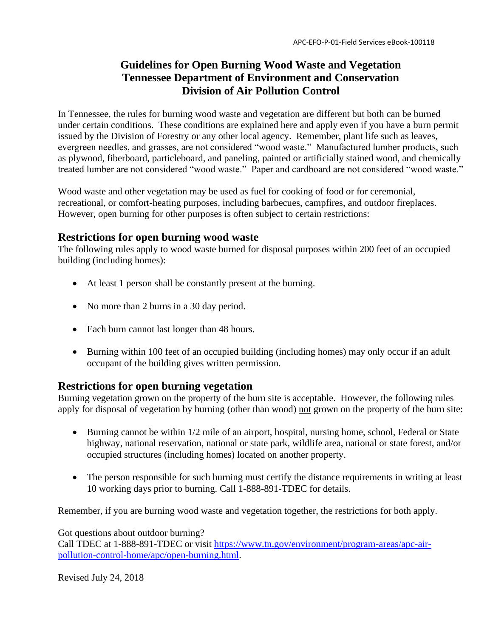## **Guidelines for Open Burning Wood Waste and Vegetation Tennessee Department of Environment and Conservation Division of Air Pollution Control**

In Tennessee, the rules for burning wood waste and vegetation are different but both can be burned under certain conditions. These conditions are explained here and apply even if you have a burn permit issued by the Division of Forestry or any other local agency. Remember, plant life such as leaves, evergreen needles, and grasses, are not considered "wood waste." Manufactured lumber products, such as plywood, fiberboard, particleboard, and paneling, painted or artificially stained wood, and chemically treated lumber are not considered "wood waste." Paper and cardboard are not considered "wood waste."

Wood waste and other vegetation may be used as fuel for cooking of food or for ceremonial, recreational, or comfort-heating purposes, including barbecues, campfires, and outdoor fireplaces. However, open burning for other purposes is often subject to certain restrictions:

## **Restrictions for open burning wood waste**

The following rules apply to wood waste burned for disposal purposes within 200 feet of an occupied building (including homes):

- At least 1 person shall be constantly present at the burning.
- No more than 2 burns in a 30 day period.
- Each burn cannot last longer than 48 hours.
- Burning within 100 feet of an occupied building (including homes) may only occur if an adult occupant of the building gives written permission.

## **Restrictions for open burning vegetation**

Burning vegetation grown on the property of the burn site is acceptable. However, the following rules apply for disposal of vegetation by burning (other than wood) not grown on the property of the burn site:

- Burning cannot be within 1/2 mile of an airport, hospital, nursing home, school, Federal or State highway, national reservation, national or state park, wildlife area, national or state forest, and/or occupied structures (including homes) located on another property.
- The person responsible for such burning must certify the distance requirements in writing at least 10 working days prior to burning. Call 1-888-891-TDEC for details.

Remember, if you are burning wood waste and vegetation together, the restrictions for both apply.

Got questions about outdoor burning? Call TDEC at 1-888-891-TDEC or visit [https://www.tn.gov/environment/program-areas/apc-air](https://www.tn.gov/environment/program-areas/apc-air-pollution-control-home/apc/open-burning.html)[pollution-control-home/apc/open-burning.html.](https://www.tn.gov/environment/program-areas/apc-air-pollution-control-home/apc/open-burning.html)

Revised July 24, 2018